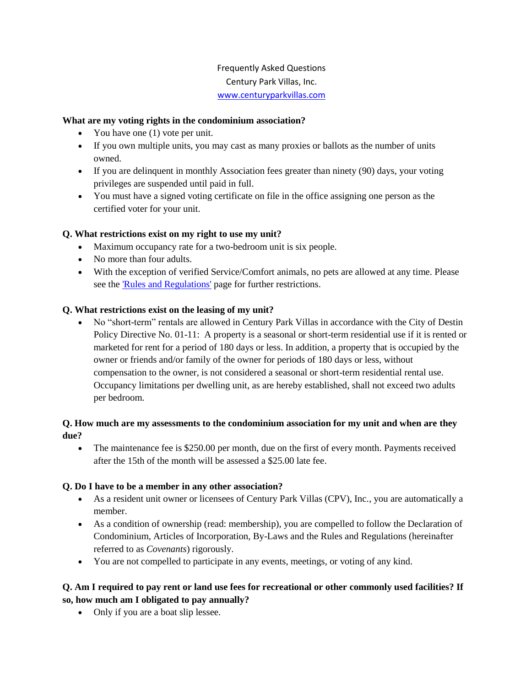# Frequently Asked Questions Century Park Villas, Inc. [www.centuryparkvillas.com](http://www.centuryparkvillas.com/)

### **What are my voting rights in the condominium association?**

- You have one (1) vote per unit.
- If you own multiple units, you may cast as many proxies or ballots as the number of units owned.
- If you are delinquent in monthly Association fees greater than ninety (90) days, your voting privileges are suspended until paid in full.
- You must have a signed voting certificate on file in the office assigning one person as the certified voter for your unit.

### **Q. What restrictions exist on my right to use my unit?**

- Maximum occupancy rate for a two-bedroom unit is six people.
- No more than four adults.
- With the exception of verified Service/Comfort animals, no pets are allowed at any time. Please see the **Rules and Regulations'** page for further restrictions.

#### **Q. What restrictions exist on the leasing of my unit?**

 No "short-term" rentals are allowed in Century Park Villas in accordance with the City of Destin Policy Directive No. 01-11: A property is a seasonal or short-term residential use if it is rented or marketed for rent for a period of 180 days or less. In addition, a property that is occupied by the owner or friends and/or family of the owner for periods of 180 days or less, without compensation to the owner, is not considered a seasonal or short-term residential rental use. Occupancy limitations per dwelling unit, as are hereby established, shall not exceed two adults per bedroom.

### **Q. How much are my assessments to the condominium association for my unit and when are they due?**

• The maintenance fee is \$250.00 per month, due on the first of every month. Payments received after the 15th of the month will be assessed a \$25.00 late fee.

#### **Q. Do I have to be a member in any other association?**

- As a resident unit owner or licensees of Century Park Villas (CPV), Inc*.*, you are automatically a member.
- As a condition of ownership (read: membership), you are compelled to follow the Declaration of Condominium, Articles of Incorporation, By-Laws and the Rules and Regulations (hereinafter referred to as *Covenants*) rigorously.
- You are not compelled to participate in any events, meetings, or voting of any kind.

## **Q. Am I required to pay rent or land use fees for recreational or other commonly used facilities? If so, how much am I obligated to pay annually?**

• Only if you are a boat slip lessee.